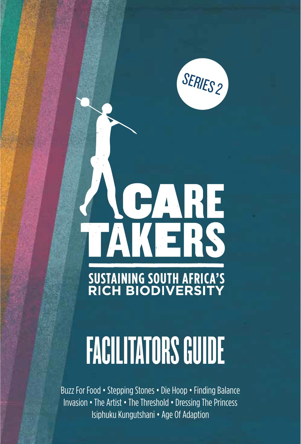SERIES<sub>2</sub>

# **ACARE**<br>TAKERS **SUSTAINING SOUTH AFRICA'S<br>RICH BIODIVERSITY**

# **FACILITATORS GUIDE**

Buzz For Food • Stepping Stones • Die Hoop • Finding Balance Invasion • The Artist • The Threshold • Dressing The Princess Isiphuku Kungutshani • Age Of Adaption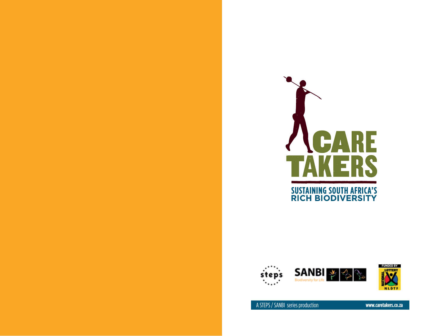



**FUNDED BY**<br>L**OTTERY** ā. **NLDTF** 

A STEPS / SANBI series production **www.caretakers.co.za**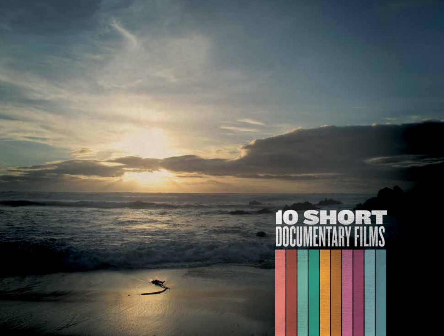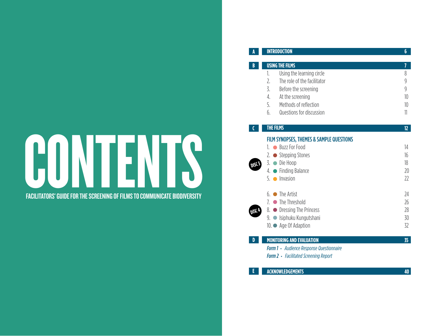# FACILITATORS' GUIDE FOR THE SCREENING OF FILMS TO COMMUNICATE BIODIVERSITY FACILITATORS' GUIDE FOR THE SCREENING OFFILMS TO COMMUNICATE BIODIVERSITY

#### **USING THE FILMS** *7* 1. Using the learning circle<br>
2. The role of the facilitator<br>
9 **2. The role of the facilitator** 9 3. Before the screening example 3 and 3 and 3 and 3 and 3 and 3 and 3 and 3 and 3 and 3 and 3 and 3 and 3 and 3 and 3 and 3 and 3 and 3 and 3 and 3 and 3 and 3 and 3 and 3 and 3 and 3 and 3 and 3 and 3 and 3 and 3 and 3 an 4. At the screening 10 5. Methods of reflection<br>6. Questions for discussion 10 6. Questions for discussion 11

**INTRODUCTION 6** 

#### **THE FILMS 12 C**

**A**

**B**

#### FILM SYNOPSES, THEMES & SAMPLE QUESTIONS

|                   | 1. Buzz For Food             | 14 |
|-------------------|------------------------------|----|
|                   | 2. $\bullet$ Stepping Stones | 16 |
| DISC <sub>3</sub> | 3. ● Die Hoop                | 18 |
|                   | 4. • Finding Balance         | 20 |
|                   | $5.$ Invasion                | 22 |
|                   | $6.$ The Artist              | 24 |
|                   | 7. $\bullet$ The Threshold   | 26 |
| <b>DISCA</b>      | 8. • Dressing The Princess   | 28 |
|                   | 9. ● Isiphuku Kungutshani    | 30 |
|                   | 10. ● Age Of Adaption        | 32 |
|                   |                              |    |

#### **MONITORING AND EVALUATION 35**

**D**

**E**

- *Form 1 · Audience Response Questionnaire*
- **Form 2** · Facilitated Screening Report

#### **ACKNOWLEDGEMENTS 40**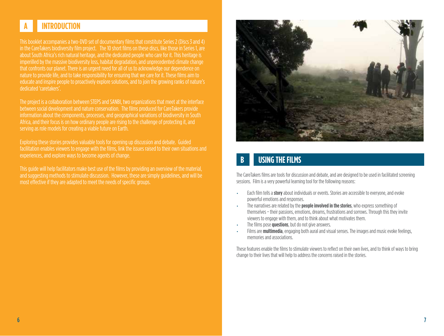# **A INTRODUCTION**

This booklet accompanies a two-DVD set of documentary films that constitute Series 2 (Discs 3 and 4) in the CareTakers biodiversity film project. The 10 short films on these discs, like those in Series 1, are about South Africa's rich natural heritage, and the dedicated people who care for it. This heritage is imperilled by the massive biodiversity loss, habitat degradation, and unprecedented climate change that confronts our planet. There is an urgent need for all of us to acknowledge our dependence on nature to provide life, and to take responsibility for ensuring that we care for it. These films aim to educate and inspire people to proactively explore solutions, and to join the growing ranks of nature's dedicated 'caretakers'.

The project is a collaboration between STEPS and SANBI, two organizations that meet at the interface between social development and nature conservation. The films produced for CareTakers provide information about the components, processes, and geographical variations of biodiversity in South Africa, and their focus is on how ordinary people are rising to the challenge of protecting it, and serving as role models for creating a viable future on Earth.

Exploring these stories provides valuable tools for opening up discussion and debate. Guided facilitation enables viewers to engage with the films, link the issues raised to their own situations and experiences, and explore ways to become agents of change.

This guide will help facilitators make best use of the films by providing an overview of the material, and suggesting methods to stimulate discussion. However, these are simply guidelines, and will be most effective if they are adapted to meet the needs of specific groups.



## **B USING THE FILMS**

The CareTakers films are tools for discussion and debate, and are designed to be used in facilitated screening sessions. Film is a very powerful learning tool for the following reasons:

- Each film tells a **story** about individuals or events. Stories are accessible to everyone, and evoke powerful emotions and responses.
- The narratives are related by the **people involved in the stories**, who express something of themselves − their passions, emotions, dreams, frustrations and sorrows. Through this they invite viewers to engage with them, and to think about what motivates them.
- The films pose **questions**, but do not give answers.
- Films are **multimedia**, engaging both aural and visual senses. The images and music evoke feelings, memories and associations.

These features enable the films to stimulate viewers to reflect on their own lives, and to think of ways to bring change to their lives that will help to address the concerns raised in the stories.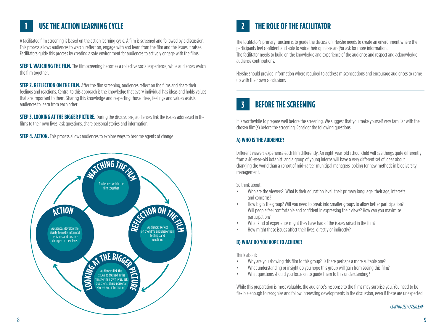# **1 USETHE ACTION LEARNING CYCLE**

A facilitated film screening is based on the action learning cycle. A film is screened and followed by a discussion. This process allows audiences to watch, reflect on, engage with and learn from the film and the issues it raises. Facilitators guide this process by creating a safe environment for audiences to actively engage with the films.

**STEP 1. WATCHING THE FILM.** The film screening becomes a collective social experience, while audiences watch the film together.

**STEP 2. REFLECTION ON THE FILM.** After the film screening, audiences reflect on the films and share their feelings and reactions. Central to this approach is the knowledge that every individual has ideas and holds values that are important to them. Sharing this knowledge and respecting those ideas, feelings and values assists audiences to learn from each other.

**STEP 3. LOOKING AT THE BIGGER PICTURE.** During the discussions, audiences link the issues addressed in the films to their own lives, ask questions, share personal stories and information.

**STEP 4. ACTION.** This process allows audiences to explore ways to become agents of change.



# **2 THEROLE OFTHEFACILITATOR**

The facilitator's primary function is to guide the discussion. He/she needs to create an environment where the participants feel confident and able to voice their opinions and/or ask for more information. The facilitator needs to build on the knowledge and experience of the audience and respect and acknowledge audience contributions.

He/she should provide information where required to address misconceptions and encourage audiences to come up with their own conclusions

## **3 BEFORETHESCREENING**

It is worthwhile to prepare well before the screening. We suggest that you make yourself very familiar with the chosen film(s) before the screening. Consider the following questions:

#### **A) WHO ISTHEAUDIENCE?**

Diferent viewers experience each film diferently. An eight-year-old school child will see things quite diferently from a 40-year-old botanist, and a group of young interns will have a very diferent set of ideas about changing the world than a cohort of mid-career municipal managers looking for new methods in biodiversity management.

So think about:

- Who are the viewers? What is their education level, their primary language, their age, interests and concerns?
- How big is the group? Will you need to break into smaller groups to allow better participation? Will people feel comfortable and confident in expressing their views? How can you maximise participation?
- What kind of experience might they have had of the issues raised in the film?
- How might these issues affect their lives, directly or indirectly?

#### **B) WHAT DO YOU HOPETO ACHIEVE?**

Think about:

- Why are you showing this film to this group? Is there perhaps a more suitable one?
- What understanding or insight do you hope this group will gain from seeing this film?
- What questions should you focus on to quide them to this understanding?

While this preparation is most valuable, the audience's response to the films may surprise you. You need to be flexible enough to recognise and follow interesting developments in the discussion, even if these are unexpected.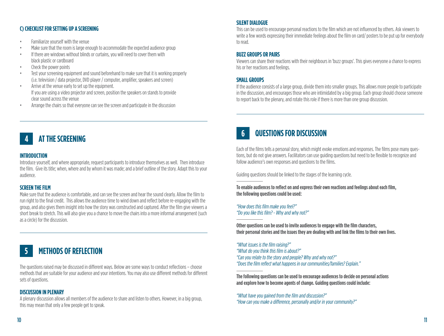#### C) CHECKLIST FOR SETTING UP A SCREENING

- Familiarize vourself with the venue  $\bullet$
- Make sure that the room is large enough to accommodate the expected audience group
- If there are windows without blinds or curtains, you will need to cover them with  $\bullet$ black plastic or cardboard
- Check the power points
- Test your screening equipment and sound beforehand to make sure that it is working properly  $\bullet$ (i.e. television / data projector, DVD player / computer, amplifier, speakers and screen)
- Arrive at the venue early to set up the equipment.  $\bullet$ If you are using a video projector and screen, position the speakers on stands to provide clear sound across the venue
- Arrange the chairs so that everyone can see the screen and participate in the discussion  $\bullet$

## **AT THE SCREENING**

#### **INTRODUCTION**

Introduce yourself, and where appropriate, request participants to introduce themselves as well. Then introduce the film. Give its title; when, where and by whom it was made; and a brief outline of the story. Adapt this to your audience.

#### **SCREEN THE FILM**

Make sure that the audience is comfortable, and can see the screen and hear the sound clearly. Allow the film to run right to the final credit. This allows the audience time to wind down and reflect before re-engaging with the group, and also gives them insight into how the story was constructed and captured. After the film give viewers a short break to stretch. This will also give you a chance to move the chairs into a more informal arrangement (such as a circle) for the discussion.

#### **METHODS OF REFLECTION** 5

The questions raised may be discussed in different ways. Below are some ways to conduct reflections - choose methods that are suitable for your audience and your intentions. You may also use different methods for different sets of questions.

#### **DISCUSSION IN PLENARY**

A plenary discussion allows all members of the audience to share and listen to others. However, in a big group, this may mean that only a few people get to speak.

#### **SILENT DIALOGUE**

This can be used to encourage personal reactions to the film which are not influenced by others. Ask viewers to write a few words expressing their immediate feelings about the film on card/posters to be put up for everybody to read.

#### **BUZZ GROUPS OR PAIRS**

Viewers can share their reactions with their neighbours in 'buzz groups'. This gives everyone a chance to express his or her reactions and feelings.

#### **SMALL GROUPS**

If the audience consists of a large group, divide them into smaller groups. This allows more people to participate in the discussion, and encourages those who are intimidated by a big group. Each group should choose someone to report back to the plenary, and rotate this role if there is more than one group discussion.

#### QUESTIONS FOR DISCUSSION  $6<sup>1</sup>$

Each of the films tells a personal story, which might evoke emotions and responses. The films pose many questions, but do not give answers. Facilitators can use guiding questions but need to be flexible to recognize and follow audience's own responses and questions to the films.

Guiding questions should be linked to the stages of the learning cycle.

To enable audiences to reflect on and express their own reactions and feelings about each film, the following questions could be used:

"How does this film make you feel?" "Do you like this film? - Why and why not?"

Other questions can be used to invite audiences to engage with the film characters. their personal stories and the issues they are dealing with and link the films to their own lives.

"What issues is the film raising?" "What do you think this film is about?" "Can you relate to the story and people? Why and why not?" "Does the film reflect what happens in our communities/families? Explain."

The following questions can be used to encourage audiences to decide on personal actions and explore how to become agents of change. Guiding questions could include:

<sup>&</sup>quot;What have you gained from the film and discussion?" "How can you make a difference, personally and/or in your community?"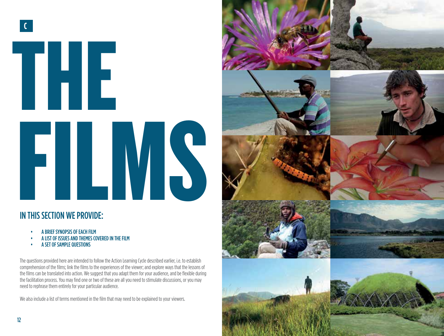

# IN THIS SECTION WE PROVIDE:

- A BRIEF SYNOPSIS OF EACH FILM
	- A LIST OF ISSUES AND THEMES COVERED IN THE FILM
	- **A SET OF SAMPLE QUESTIONS**

The questions provided here are intended to follow the Action Learning Cycle described earlier, i.e. to establish comprehension of the films; link the films to the experiences of the viewer; and explore ways that the lessons of the films can be translated into action. We suggest that you adapt them for your audience, and be flexible during the facilitation process. You may find one or two of these are all you need to stimulate discussions, or you may need to rephrase them entirely for your particular audience.

We also include a list of terms mentioned in the film that may need to be explained to your viewers.

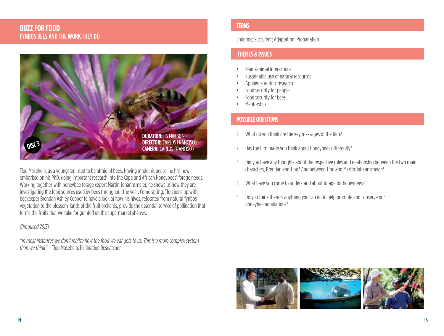#### **BUZZ FOR FOOD FYNBOS BEES AND THE WORK THEY DO**



Tlou Masehela, as a youngster, used to be afraid of bees. Having made his peace, he has now embarked on his PhD, doing important research into the Cape and African Honeybees' forage needs. Working together with honeybee forage expert Martin Johannsmeier, he shows us how they are investigating the food sources used by bees throughout the year. Come spring, Tlou joins up with beekeeper Brendan Ashley Cooper to have a look at how his hives, relocated from natural fynbos vegetation to the blossom-lands of the fruit orchards, provide the essential service of pollination that forms the fruits that we take for granted on the supermarket shelves.

#### (Produced 2013)

"In most instances we don't realize how the food we eat gets to us. This is a more complex system than we think" - Tlou Masehela, Pollination Researcher

#### **TERMS**

#### **Endemic: Succulent: Adaptation: Propagation**

#### **THEMES & ISSUES**

- Plant/animal interactions
- Sustainable use of natural resources
- Applied scientific research
- Food security for people
- Food security for bees
- Mentorship

- What do you think are the key messages of the film?  $1.$
- 2. Has the film made you think about honeybees differently?
- 3. Did you have any thoughts about the respective roles and relationship between the two main characters. Brendan and Tlou? And between Tlou and Martin Johannsmeier?
- 4. What have you come to understand about forage for honeybees?
- 5. Do you think there is anything you can do to help promote and conserve our honeybee populations?

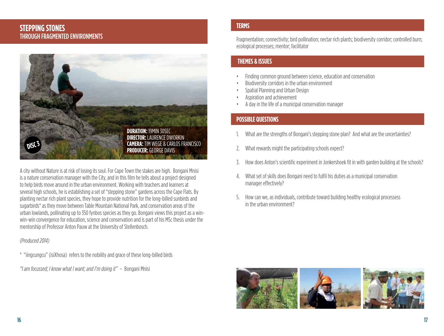#### **STEPPING STONES THROUGH FRAGMENTED ENVIRONMENTS**



A city without Nature is at risk of losing its soul. For Cape Town the stakes are high. Bongani Mnisi is a nature conservation manager with the City, and in this film he tells about a project designed to help birds move around in the urban environment. Working with teachers and learners at several high schools, he is establishing a set of "stepping stone" gardens across the Cape Flats. By planting nectar rich plant species, they hope to provide nutrition for the long-billed sunbirds and sugarbirds\* as they move between Table Mountain National Park, and conservation areas of the urban lowlands, pollinating up to 350 fynbos species as they go. Bongani views this project as a winwin-win convergence for education, science and conservation and is part of his MSc thesis under the mentorship of Professor Anton Pauw at the University of Stellenbosch.

#### (Produced 2014)

\* "iingcungcu" (isiXhosa) refers to the nobility and grace of these long-billed birds

"I am focussed; I know what I want; and I'm doing it" - Bongani Mnisi

#### **TERMS**

Fragmentation: connectivity: bird pollination: nectar rich plants: biodiversity corridor: controlled burn: ecological processes; mentor; facilitator

#### **THEMES & ISSUES**

- Finding common ground between science, education and conservation
- Biodiversity corridors in the urban environment
- Spatial Planning and Urban Design
- Aspiration and achievement
- A day in the life of a municipal conservation manager

- What are the strengths of Bongani's stepping stone plan? And what are the uncertainties?
- What rewards might the participating schools expect?  $2.$
- 3. How does Anton's scientific experiment in Jonkershoek fit in with garden building at the schools?
- 4. What set of skills does Bongani need to fulfil his duties as a municipal conservation manager effectively?
- 5. How can we, as individuals, contribute toward building healthy ecological processess in the urban environment?

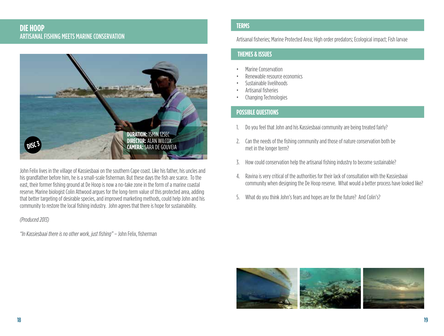#### **DIE HOOP** ARTISANAL FISHING MEETS MARINE CONSERVATION



John Felix lives in the village of Kassiesbaai on the southern Cape coast. Like his father, his uncles and his grandfather before him, he is a small-scale fisherman. But these days the fish are scarce. To the east, their former fishing ground at De Hoop is now a no-take zone in the form of a marine coastal reserve. Marine biologist Colin Attwood argues for the long-term value of this protected area, adding that better targeting of desirable species, and improved marketing methods, could help John and his community to restore the local fishing industry. John agrees that there is hope for sustainability.

#### (Produced 2013)

"In Kassiesbaai there is no other work, just fishing" - John Felix, fisherman

#### **TERMS**

Artisanal fisheries: Marine Protected Area: High order predators: Ecological impact: Fish larvae

#### **THEMES & ISSUES**

- Marine Conservation
- Renewable resource economics
- Sustainable livelihoods
- Artisanal fisheries
- Changing Technologies

- Do you feel that John and his Kassiesbaai community are being treated fairly?  $1$
- 2. Can the needs of the fishing community and those of nature conservation both be met in the longer term?
- 3. How could conservation help the artisanal fishing industry to become sustainable?
- 4. Ravina is very critical of the authorities for their lack of consultation with the Kassiesbaai community when designing the De Hoop reserve. What would a better process have looked like?
- 5. What do you think John's fears and hopes are for the future? And Colin's?

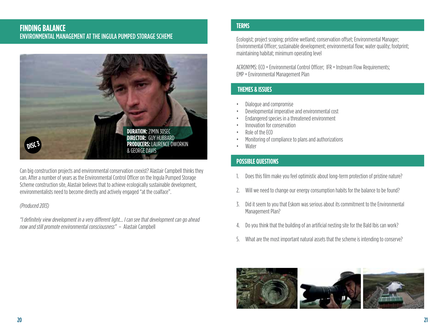#### **FINDING BALANCE ENVIRONMENTAL MANAGEMENT AT THE INGULA PUMPED STORAGE SCHEME**



Can big construction projects and environmental conservation coexist? A lastair Campbell thinks they can. After a number of years as the Environmental Control Officer on the Inquia Pumped Storage Scheme construction site, Alastair believes that to achieve ecologically sustainable development, environmentalists need to become directly and actively engaged "at the coalface".

#### (Produced 2013)

"I definitely view development in a very different light... I can see that development can go ahead now and still promote environmental consciousness" - Alastair Campbell

#### **TERMS**

Ecologist: project scoping: pristine wetland: conservation offset: Environmental Manager: Environmental Officer; sustainable development; environmental flow; water quality; footprint; maintaining habitat; minimum operating level

ACRONYMS: ECO = Environmental Control Officer; IFR = Instream Flow Requirements; EMP = Environmental Management Plan

#### **THEMES & ISSUES**

- Dialogue and compromise
- Developmental imperative and environmental cost
- Endangered species in a threatened environment
- Innovation for conservation
- Role of the ECO
- Monitoring of compliance to plans and authorizations
- Water

- Does this film make you feel optimistic about long-term protection of pristine nature?
- Will we need to change our energy consumption habits for the balance to be found? 2.
- 3. Did it seem to you that Eskom was serious about its commitment to the Environmental Management Plan?
- Do you think that the building of an artificial nesting site for the Bald Ibis can work?  $4.$
- 5. What are the most important natural assets that the scheme is intending to conserve?

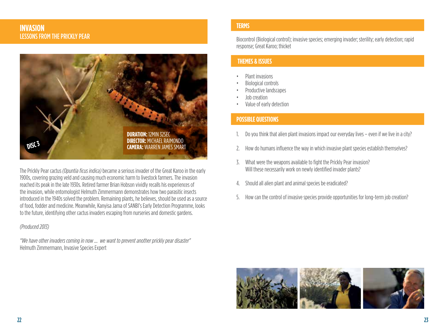#### **INVASION LESSONS FROM THE PRICKLY PEAR**



The Prickly Pear cactus (Opuntia ficus indica) became a serious invader of the Great Karoo in the early 1900s, covering grazing veld and causing much economic harm to livestock farmers. The invasion reached its peak in the late 1930s. Retired farmer Brian Hobson vividly recalls his experiences of the invasion, while entomologist Helmuth Zimmermann demonstrates how two parasitic insects introduced in the 1940s solved the problem. Remaining plants, he believes, should be used as a source of food, fodder and medicine. Meanwhile, Kanyisa Jama of SANBI's Early Detection Programme, looks to the future, identifying other cactus invaders escaping from nurseries and domestic gardens.

#### (Produced 2013)

"We have other invaders coming in now ... we want to prevent another prickly pear disaster" Helmuth Zimmermann, Invasive Species Expert

#### **TERMS**

Biocontrol (Biological control); invasive species: emerging invader: sterility: early detection: rapid response; Great Karoo; thicket

#### **THEMES & ISSUES**

- Plant invasions
- **Biological controls**
- Productive landscapes
- lob creation
- Value of early detection

- Do you think that alien plant invasions impact our everyday lives even if we live in a city?
- 2. How do humans influence the way in which invasive plant species establish themselves?
- 3. What were the weapons available to fight the Prickly Pear invasion? Will these necessarily work on newly identified invader plants?
- Should all alien plant and animal species be eradicated?  $4.$
- 5. How can the control of invasive species provide opportunities for long-term job creation?

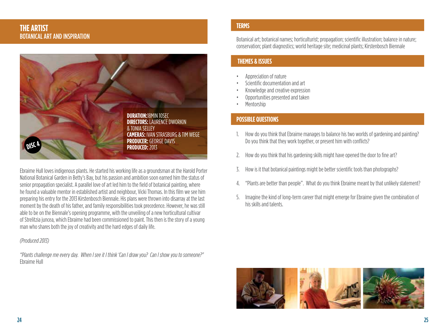#### **THE ARTIST BOTANICAL ART AND INSPIRATION**



Ebraime Hull loves indigenous plants. He started his working life as a groundsman at the Harold Porter National Botanical Garden in Betty's Bay, but his passion and ambition soon earned him the status of senior propagation specialist. A parallel love of art led him to the field of botanical painting, where he found a valuable mentor in established artist and neighbour, Vicki Thomas. In this film we see him preparing his entry for the 2013 Kirstenbosch Biennale. His plans were thrown into disarray at the last moment by the death of his father, and family responsibilities took precedence. However, he was still able to be on the Biennale's opening programme, with the unveiling of a new horticultural cultivar of Strelitzia juncea, which Ebraime had been commissioned to paint. This then is the story of a young man who shares both the joy of creativity and the hard edges of daily life.

#### (Produced 2013)

"Plants challenge me every day. When I see it I think 'Can I draw you? Can I show you to someone?" Fhraime Hull

#### **TERMS**

Botanical art: botanical names: horticulturist: propagation: scientific illustration: balance in nature: conservation; plant diagnostics; world heritage site; medicinal plants; Kirstenbosch Biennale

#### **THEMES & ISSUES**

- Appreciation of nature
- Scientific documentation and art
- Knowledge and creative expression
- Opportunities presented and taken
- Mentorship

- 1. How do you think that Ebraime manages to balance his two worlds of gardening and painting? Do you think that they work together, or present him with conflicts?
- 2. How do you think that his gardening skills might have opened the door to fine art?
- How is it that botanical paintings might be better scientific tools than photographs? 3.
- "Plants are better than people". What do you think Ebraime meant by that unlikely statement? 4.
- 5. Imagine the kind of long-term career that might emerge for Ebraime given the combination of his skills and talents

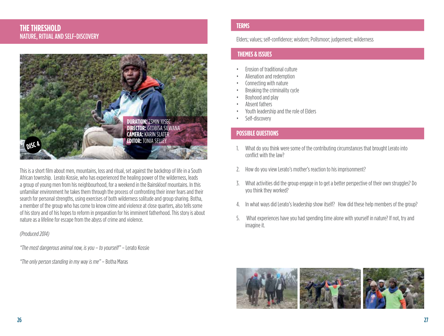#### **THE THRESHOLD NATURE, RITUAL AND SELF-DISCOVERY**



This is a short film about men, mountains, loss and ritual, set against the backdrop of life in a South African township. Lerato Kossie, who has experienced the healing power of the wilderness, leads a group of young men from his neighbourhood, for a weekend in the Bainskloof mountains. In this unfamiliar environment he takes them through the process of confronting their inner fears and their search for personal strengths, using exercises of both wilderness solitude and group sharing. Botha. a member of the group who has come to know crime and violence at close guarters, also tells some of his story and of his hopes to reform in preparation for his imminent fatherhood. This story is about nature as a lifeline for escape from the abyss of crime and violence.

#### (Produced 2014)

"The most dangerous animal now, is you - to yourself" - Lerato Kossie

"The only person standing in my way is me" - Botha Maras

#### **TERMS**

Elders: values: self-confidence: wisdom: Pollsmoor: judgement: wilderness

#### **THEMES & ISSUES**

- Erosion of traditional culture
- Alienation and redemption
- Connecting with nature
- Breaking the criminality cycle
- Boyhood and play
- Absent fathers
- Youth leadership and the role of Elders
- Self-discovery

- 1. What do you think were some of the contributing circumstances that brought Lerato into conflict with the law?
- How do you view Lerato's mother's reaction to his imprisonment? 2.
- 3. What activities did the group engage in to get a better perspective of their own struggles? Do vou think they worked?
- 4. In what ways did Lerato's leadership show itself? How did these help members of the group?
- What experiences have you had spending time alone with yourself in nature? If not, try and 5. imagine it.

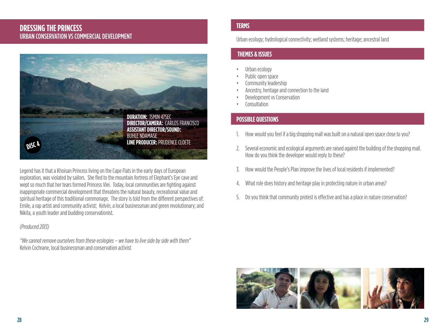#### **DRESSING THE PRINCESS** URBAN CONSERVATION VS COMMERCIAL DEVELOPMENT



Legend has it that a Khoisan Princess living on the Cape Flats in the early days of European exploration, was violated by sailors. She fled to the mountain fortress of Elephant's Eve cave and wept so much that her tears formed Princess Vlei. Today, local communities are fighting against inappropriate commercial development that threatens the natural beauty, recreational value and spiritual heritage of this traditional commonage. The story is told from the different perspectives of: Emile, a rap artist and community activist; Kelvin, a local businessman and green revolutionary; and Nikita, a youth leader and budding conservationist.

#### (Produced 2013)

"We cannot remove ourselves from these ecologies - we have to live side by side with them" Kelvin Cochrane, local businessman and conservation activist

#### **TERMS**

Urban ecology: hydrological connectivity: wetland systems: heritage: ancestral land

#### **THEMES & ISSUES**

- Urban ecology
- Public open space
- Community leadership
- Ancestry, heritage and connection to the land
- Development vs Conservation
- Consultation

- How would you feel if a big shopping mall was built on a natural open space close to you?
- 2. Several economic and ecological arguments are raised against the building of the shopping mall. How do you think the developer would reply to these?
- 3. How would the People's Plan improve the lives of local residents if implemented?
- What role does history and heritage play in protecting nature in urban areas?  $4.$
- 5. Do you think that community protest is effective and has a place in nature conservation?

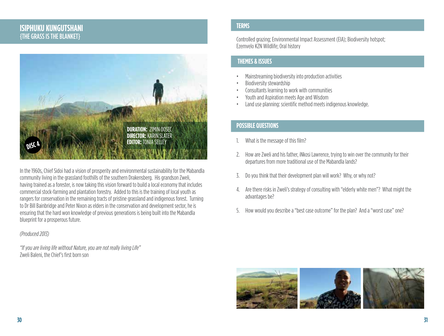#### **ISIPHUKU KUNGUTSHANI {THE GRASS IS THE BLANKET}**



In the 1960s, Chief Sidoi had a vision of prosperity and environmental sustainability for the Mabandla community living in the grassland foothills of the southern Drakensberg. His grandson Zweli. having trained as a forester, is now taking this vision forward to build a local economy that includes commercial stock-farming and plantation forestry. Added to this is the training of local youth as rangers for conservation in the remaining tracts of pristine grassland and indigenous forest. Turning to Dr Bill Bainbridge and Peter Nixon as elders in the conservation and development sector, he is ensuring that the hard won knowledge of previous generations is being built into the Mabandla blueprint for a prosperous future.

#### (Produced 2013)

"If you are living life without Nature, you are not really living Life" Zweli Baleni, the Chief's first born son

#### **TERMS**

Controlled grazing; Environmental Impact Assessment (EIA); Biodiversity hotspot; Ezemvelo KZN Wildlife; Oral history

#### **THEMES & ISSUES**

- Mainstreaming biodiversity into production activities
- Biodiversity stewardship
- Consultants learning to work with communities
- Youth and Aspiration meets Age and Wisdom
- Land use planning: scientific method meets indigenous knowledge.

- 1. What is the message of this film?
- 2. How are Zweli and his father, iNkosi Lawrence, trying to win over the community for their departures from more traditional use of the Mabandla lands?
- 3. Do you think that their development plan will work? Why, or why not?
- 4. Are there risks in Zweli's strategy of consulting with "elderly white men"? What might the advantages be?
- 5. How would you describe a "best case outcome" for the plan? And a "worst case" one?

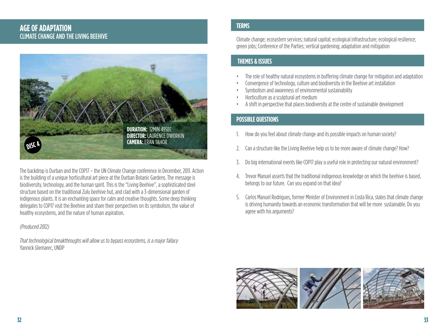#### **AGE OF ADAPTATION CLIMATE CHANGE AND THE LIVING BEEHIVE**



The backdrop is Durban and the COP17 - the UN Climate Change conference in December, 2011. Action is the building of a unique horticultural art piece at the Durban Botanic Gardens. The message is biodiversity, technology, and the human spirit. This is the "Living Beehive", a sophisticated steel structure based on the traditional Zulu beehive hut, and clad with a 3-dimensional garden of indigenous plants. It is an enchanting space for calm and creative thoughts. Some deep thinking delegates to COP17 visit the Beehive and share their perspectives on its symbolism, the value of healthy ecosystems, and the nature of human aspiration.

#### (Produced 2012)

That technological breakthroughs will allow us to bypass ecosystems, is a major fallacy Yannick Glemarec, UNDP

#### **TERMS**

Climate change: ecosystem services: natural capital: ecological infrastructure: ecological resilience: green jobs; Conference of the Parties; vertical gardening; adaptation and mitigation

#### **THEMES & ISSUES**

- The role of healthy natural ecosystems in buffering climate change for mitigation and adaptation
- Convergence of technology, culture and biodiversity in the Beehive art installation
- Symbolism and awareness of environmental sustainability
- Horticulture as a sculptural art medium
- A shift in perspective that places biodiversity at the centre of sustainable development

- How do you feel about climate change and its possible impacts on human society?
- Can a structure like the Living Beehive help us to be more aware of climate change? How?  $2.$
- Do big international events like COP17 play a useful role in protecting our natural environment? 3.
- 4. Trevor Manuel asserts that the traditional indigenous knowledge on which the beehive is based. belongs to our future. Can you expand on that idea?
- 5. Carlos Manuel Rodrigues, former Minister of Environment in Costa Rica, states that climate change is driving humanity towards an economic transformation that will be more sustainable. Do you agree with his arguments?

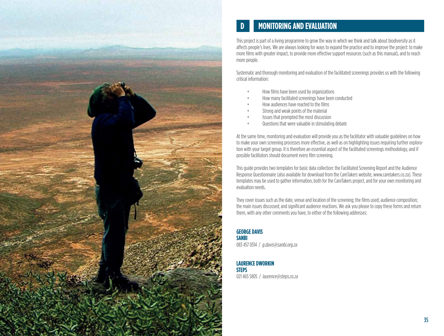

# **MONITORING AND EVALUATION**

This project is part of a living programme to grow the way in which we think and talk about biodiversity as it affects people's lives. We are always looking for ways to expand the practice and to improve the project: to make more films with greater impact, to provide more effective support resources (such as this manual), and to reach more people.

Systematic and thorough monitoring and evaluation of the facilitated screenings provides us with the following critical information:

- How films have been used by organizations
- How many facilitated screenings have been conducted
- How audiences have reacted to the films
- Strong and weak points of the material
- Issues that prompted the most discussion
- Questions that were valuable in stimulating debate

At the same time, monitoring and evaluation will provide you as the facilitator with valuable guidelines on how to make your own screening processes more effective, as well as on highlighting issues requiring further exploration with your target group. It is therefore an essential aspect of the facilitated screenings methodology, and if possible facilitators should document every film screening.

This quide provides two templates for basic data collection: the Facilitated Screening Report and the Audience Response Questionnaire (also available for download from the CareTakers website, www.caretakers.co.za). These templates may be used to gather information, both for the CareTakers project, and for your own monitoring and avaluation needs

They cover issues such as the date, venue and location of the screening; the films used; audience composition; the main issues discussed; and significant audience reactions. We ask you please to copy these forms and return them, with any other comments you have, to either of the following addresses:

**GEORGE DAVIS SANBI** 083 457 0314 / g.davis@sanbi.org.za

**LAURENCE DWORKIN STEPS** 021 465 5805 / laurence@steps.co.za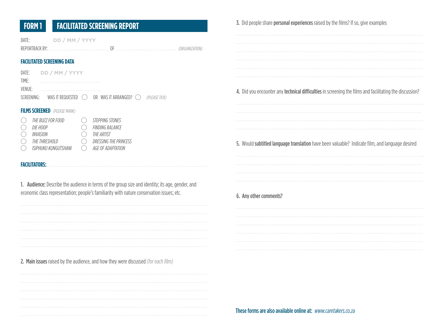| <b>FACILITATED SCREENING REPORT</b><br><b>FORM1</b>                                                                                                                                                                                                                                                                                                             | 3. Did people share personal experiences raised by the films? If so, give examples                      |
|-----------------------------------------------------------------------------------------------------------------------------------------------------------------------------------------------------------------------------------------------------------------------------------------------------------------------------------------------------------------|---------------------------------------------------------------------------------------------------------|
| DD / MM / YYYY<br>DATE:                                                                                                                                                                                                                                                                                                                                         |                                                                                                         |
| <b>FACILITATED SCREENING DATA</b><br>DD / MM / YYYY<br>DATE:<br>TIME:<br><b>VENUE:</b><br>WAS IT REQUESTED<br><u> </u><br>SCREENING:<br>OR WAS IT ARRANGED? $\bigcirc$<br>(PLEASE TICK)                                                                                                                                                                         | 4. Did you encounter any technical difficulties in screening the films and facilitating the discussion? |
| <b>FILMS SCREENED</b> (PLEASE MARK)<br>THE BUZZ FOR FOOD<br>STEPPING STONES<br>$\left(\begin{array}{c} \end{array}\right)$<br>DIE HOOP<br><b>FINDING BALANCE</b><br>O<br>INVASION<br>THE ARTIST<br>O<br>THE THRESHOLD<br>DRESSING THE PRINCESS<br>$\left(\ \right)$<br>ISIPHUKU KUNGUTSHANI<br>$\left(\begin{array}{c} \end{array}\right)$<br>AGE OF ADAPTATION | 5. Would subtitled language translation have been valuable? Indicate film, and language desired         |
| <b>FACILITATORS:</b><br>1. Audience: Describe the audience in terms of the group size and identity; its age, gender, and<br>economic class representation; people's familiarity with nature conservation issues; etc.                                                                                                                                           | 6. Any other comments?                                                                                  |
| 2. Main issues raised by the audience, and how they were discussed (for each film)                                                                                                                                                                                                                                                                              |                                                                                                         |
|                                                                                                                                                                                                                                                                                                                                                                 | These forms are also available online at: www.caretakers.co.za                                          |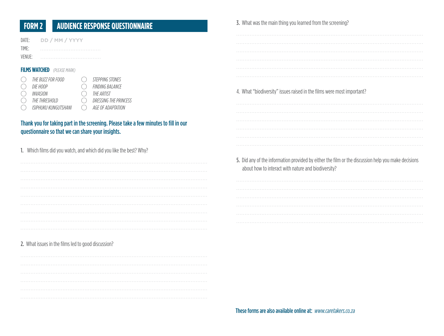#### **AUDIENCE RESPONSE QUESTIONNAIRE FORM 2**

| DATE:<br>TIME:<br>VENUE: | DD / MM / YYYY                                                                     |                                                                                                       |
|--------------------------|------------------------------------------------------------------------------------|-------------------------------------------------------------------------------------------------------|
|                          | <b>FILMS WATCHED</b> (PLEASE MARK)                                                 |                                                                                                       |
|                          | THE BUZZ FOR FOOD<br>DIE HOOP<br>INVASION<br>THE THRESHOLD<br>ISIPHUKU KUNGUTSHANI | STEPPING STONES<br><b>FINDING BALANCE</b><br>THE ARTIST<br>DRESSING THE PRINCESS<br>AGE OF ADAPTATION |

#### Thank you for taking part in the screening. Please take a few minutes to fill in our questionnaire so that we can share your insights.

1. Which films did you watch, and which did you like the best? Why?

#### 2. What issues in the films led to good discussion?



#### 3. What was the main thing you learned from the screening?

4. What "biodiversity" issues raised in the films were most important?

5. Did any of the information provided by either the film or the discussion help you make decisions about how to interact with nature and biodiversity?

These forms are also available online at: www.caretakers.co.za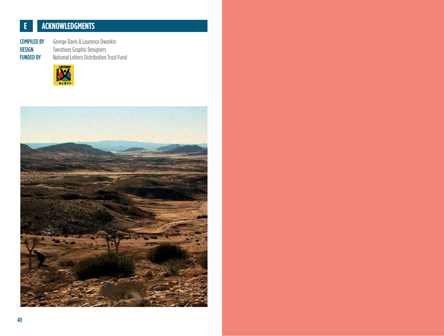#### ACKNOWLEDGMENTS  $\mathbf{E}$

**COMPILED BY DESIGN FUNDED BY** 

George Davis & Laurence Dworkin Twoshoes Graphic Designers<br>National Lottery Distribution Trust Fund